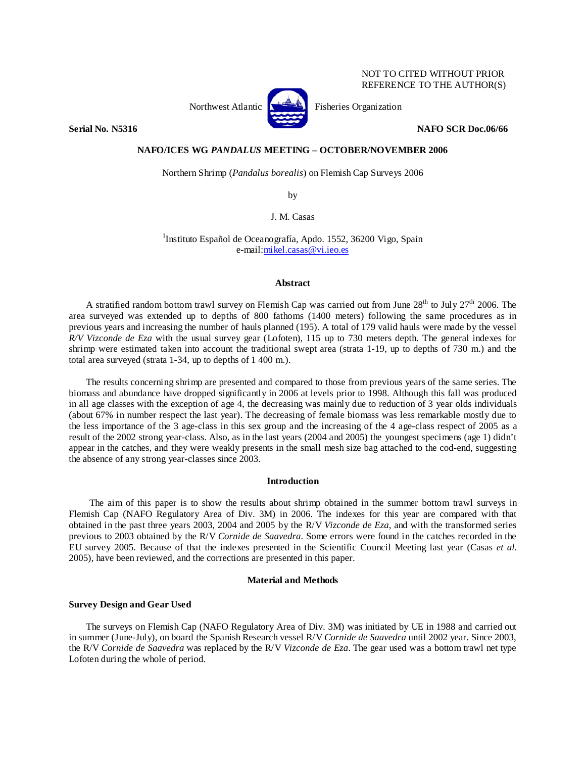# NOT TO CITED WITHOUT PRIOR REFERENCE TO THE AUTHOR(S)



Northwest Atlantic  $\left[\begin{matrix} 1 & 1 \\ 1 & 1 \end{matrix}\right]$  Fisheries Organization

**Serial No. N5316 NAFO SCR Doc.06/66** 

# **NAFO/ICES WG** *PANDALUS* **MEETING – OCTOBER/NOVEMBER 2006**

Northern Shrimp (*Pandalus borealis*) on Flemish Cap Surveys 2006

by

J. M. Casas

<sup>1</sup>Instituto Español de Oceanografía, Apdo. 1552, 36200 Vigo, Spain e-mail:mikel.casas@vi.ieo.es

### **Abstract**

A stratified random bottom trawl survey on Flemish Cap was carried out from June 28<sup>th</sup> to July 27<sup>th</sup> 2006. The area surveyed was extended up to depths of 800 fathoms (1400 meters) following the same procedures as in previous years and increasing the number of hauls planned (195). A total of 179 valid hauls were made by the vessel *R/V Vizconde de Eza* with the usual survey gear (Lofoten)*,* 115 up to 730 meters depth. The general indexes for shrimp were estimated taken into account the traditional swept area (strata 1-19, up to depths of 730 m.) and the total area surveyed (strata 1-34, up to depths of 1 400 m.).

The results concerning shrimp are presented and compared to those from previous years of the same series. The biomass and abundance have dropped significantly in 2006 at levels prior to 1998. Although this fall was produced in all age classes with the exception of age 4, the decreasing was mainly due to reduction of 3 year olds individuals (about 67% in number respect the last year). The decreasing of female biomass was less remarkable mostly due to the less importance of the 3 age-class in this sex group and the increasing of the 4 age-class respect of 2005 as a result of the 2002 strong year-class. Also, as in the last years (2004 and 2005) the youngest specimens (age 1) didn't appear in the catches, and they were weakly presents in the small mesh size bag attached to the cod-end, suggesting the absence of any strong year-classes since 2003.

# **Introduction**

The aim of this paper is to show the results about shrimp obtained in the summer bottom trawl surveys in Flemish Cap (NAFO Regulatory Area of Div. 3M) in 2006. The indexes for this year are compared with that obtained in the past three years 2003, 2004 and 2005 by the R/V *Vizconde de Eza*, and with the transformed series previous to 2003 obtained by the R/V *Cornide de Saavedra*. Some errors were found in the catches recorded in the EU survey 2005. Because of that the indexes presented in the Scientific Council Meeting last year (Casas *et al.* 2005), have been reviewed, and the corrections are presented in this paper.

#### **Material and Methods**

# **Survey Design and Gear Used**

The surveys on Flemish Cap (NAFO Regulatory Area of Div. 3M) was initiated by UE in 1988 and carried out in summer (June-July), on board the Spanish Research vessel R/V *Cornide de Saavedra* until 2002 year. Since 2003, the R/V *Cornide de Saavedra* was replaced by the R/V *Vizconde de Eza*. The gear used was a bottom trawl net type Lofoten during the whole of period.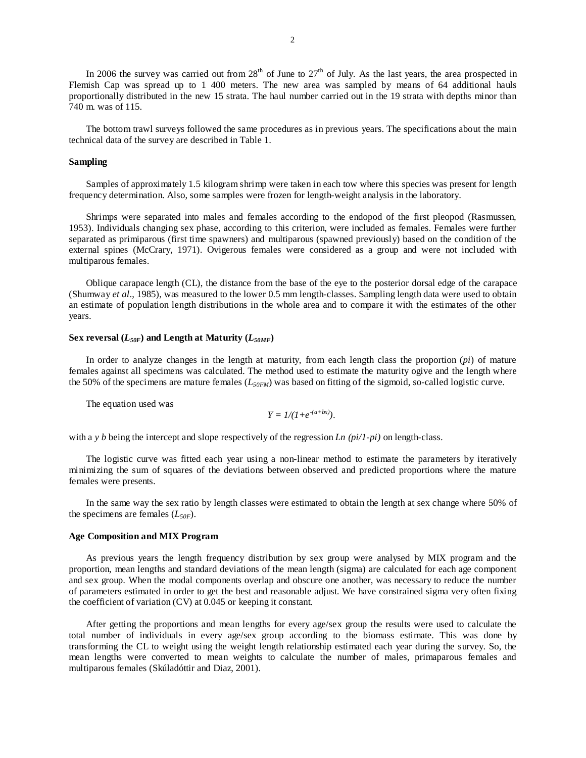In 2006 the survey was carried out from  $28<sup>th</sup>$  of June to  $27<sup>th</sup>$  of July. As the last years, the area prospected in Flemish Cap was spread up to 1 400 meters. The new area was sampled by means of 64 additional hauls proportionally distributed in the new 15 strata. The haul number carried out in the 19 strata with depths minor than 740 m. was of 115.

The bottom trawl surveys followed the same procedures as in previous years. The specifications about the main technical data of the survey are described in Table 1.

#### **Sampling**

Samples of approximately 1.5 kilogram shrimp were taken in each tow where this species was present for length frequency determination. Also, some samples were frozen for length-weight analysis in the laboratory.

Shrimps were separated into males and females according to the endopod of the first pleopod (Rasmussen, 1953). Individuals changing sex phase, according to this criterion, were included as females. Females were further separated as primiparous (first time spawners) and multiparous (spawned previously) based on the condition of the external spines (McCrary, 1971). Ovigerous females were considered as a group and were not included with multiparous females.

Oblique carapace length (CL), the distance from the base of the eye to the posterior dorsal edge of the carapace (Shumway *et al*., 1985), was measured to the lower 0.5 mm length-classes. Sampling length data were used to obtain an estimate of population length distributions in the whole area and to compare it with the estimates of the other years.

#### Sex reversal  $(L_{50F})$  and Length at Maturity  $(L_{50MF})$

In order to analyze changes in the length at maturity, from each length class the proportion (*pi*) of mature females against all specimens was calculated. The method used to estimate the maturity ogive and the length where the 50% of the specimens are mature females (*L50FM*) was based on fitting of the sigmoid, so-called logistic curve.

The equation used was

$$
Y = 1/(1+e^{-(a+bx)}).
$$

with a *y b* being the intercept and slope respectively of the regression *Ln (pi/1-pi)* on length-class.

The logistic curve was fitted each year using a non-linear method to estimate the parameters by iteratively minimizing the sum of squares of the deviations between observed and predicted proportions where the mature females were presents.

In the same way the sex ratio by length classes were estimated to obtain the length at sex change where 50% of the specimens are females  $(L_{50F})$ .

# **Age Composition and MIX Program**

As previous years the length frequency distribution by sex group were analysed by MIX program and the proportion, mean lengths and standard deviations of the mean length (sigma) are calculated for each age component and sex group. When the modal components overlap and obscure one another, was necessary to reduce the number of parameters estimated in order to get the best and reasonable adjust. We have constrained sigma very often fixing the coefficient of variation (CV) at 0.045 or keeping it constant.

After getting the proportions and mean lengths for every age/sex group the results were used to calculate the total number of individuals in every age/sex group according to the biomass estimate. This was done by transforming the CL to weight using the weight length relationship estimated each year during the survey. So, the mean lengths were converted to mean weights to calculate the number of males, primaparous females and multiparous females (Skúladóttir and Diaz, 2001).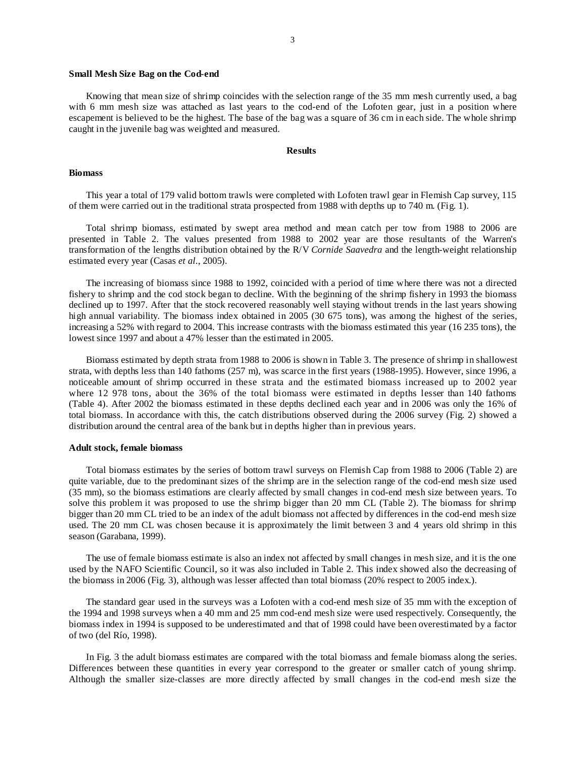#### **Small Mesh Size Bag on the Cod-end**

Knowing that mean size of shrimp coincides with the selection range of the 35 mm mesh currently used, a bag with 6 mm mesh size was attached as last years to the cod-end of the Lofoten gear, just in a position where escapement is believed to be the highest. The base of the bag was a square of 36 cm in each side. The whole shrimp caught in the juvenile bag was weighted and measured.

#### **Results**

#### **Biomass**

This year a total of 179 valid bottom trawls were completed with Lofoten trawl gear in Flemish Cap survey, 115 of them were carried out in the traditional strata prospected from 1988 with depths up to 740 m. (Fig. 1).

Total shrimp biomass, estimated by swept area method and mean catch per tow from 1988 to 2006 are presented in Table 2. The values presented from 1988 to 2002 year are those resultants of the Warren's transformation of the lengths distribution obtained by the R/V *Cornide Saavedra* and the length-weight relationship estimated every year (Casas *et al.*, 2005).

The increasing of biomass since 1988 to 1992, coincided with a period of time where there was not a directed fishery to shrimp and the cod stock began to decline. With the beginning of the shrimp fishery in 1993 the biomass declined up to 1997. After that the stock recovered reasonably well staying without trends in the last years showing high annual variability. The biomass index obtained in 2005 (30 675 tons), was among the highest of the series, increasing a 52% with regard to 2004. This increase contrasts with the biomass estimated this year (16 235 tons), the lowest since 1997 and about a 47% lesser than the estimated in 2005.

Biomass estimated by depth strata from 1988 to 2006 is shown in Table 3. The presence of shrimp in shallowest strata, with depths less than 140 fathoms (257 m), was scarce in the first years (1988-1995). However, since 1996, a noticeable amount of shrimp occurred in these strata and the estimated biomass increased up to 2002 year where 12 978 tons, about the 36% of the total biomass were estimated in depths lesser than 140 fathoms (Table 4). After 2002 the biomass estimated in these depths declined each year and in 2006 was only the 16% of total biomass. In accordance with this, the catch distributions observed during the 2006 survey (Fig. 2) showed a distribution around the central area of the bank but in depths higher than in previous years.

#### **Adult stock, female biomass**

Total biomass estimates by the series of bottom trawl surveys on Flemish Cap from 1988 to 2006 (Table 2) are quite variable, due to the predominant sizes of the shrimp are in the selection range of the cod-end mesh size used (35 mm), so the biomass estimations are clearly affected by small changes in cod-end mesh size between years. To solve this problem it was proposed to use the shrimp bigger than 20 mm CL (Table 2). The biomass for shrimp bigger than 20 mm CL tried to be an index of the adult biomass not affected by differences in the cod-end mesh size used. The 20 mm CL was chosen because it is approximately the limit between 3 and 4 years old shrimp in this season (Garabana, 1999).

The use of female biomass estimate is also an index not affected by small changes in mesh size, and it is the one used by the NAFO Scientific Council, so it was also included in Table 2. This index showed also the decreasing of the biomass in 2006 (Fig. 3), although was lesser affected than total biomass (20% respect to 2005 index.).

The standard gear used in the surveys was a Lofoten with a cod-end mesh size of 35 mm with the exception of the 1994 and 1998 surveys when a 40 mm and 25 mm cod-end mesh size were used respectively. Consequently, the biomass index in 1994 is supposed to be underestimated and that of 1998 could have been overestimated by a factor of two (del Río, 1998).

In Fig. 3 the adult biomass estimates are compared with the total biomass and female biomass along the series. Differences between these quantities in every year correspond to the greater or smaller catch of young shrimp. Although the smaller size-classes are more directly affected by small changes in the cod-end mesh size the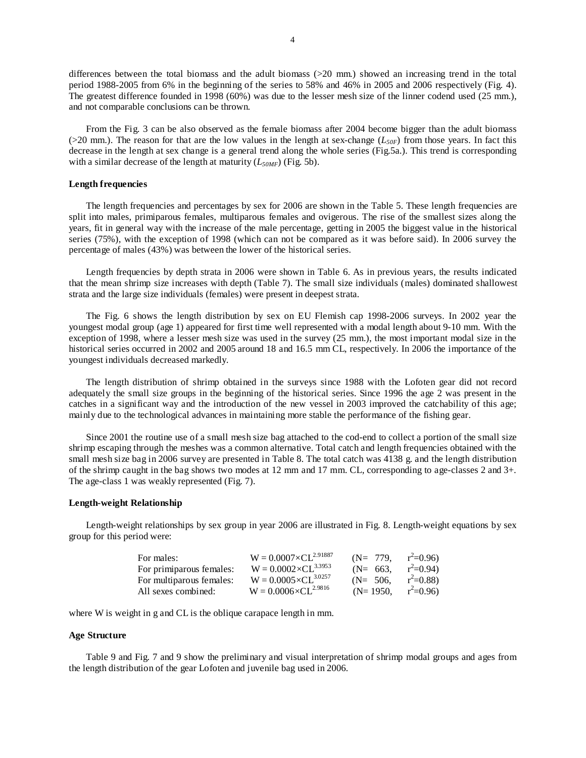differences between the total biomass and the adult biomass (>20 mm.) showed an increasing trend in the total period 1988-2005 from 6% in the beginning of the series to 58% and 46% in 2005 and 2006 respectively (Fig. 4). The greatest difference founded in 1998 (60%) was due to the lesser mesh size of the linner codend used (25 mm.), and not comparable conclusions can be thrown.

From the Fig. 3 can be also observed as the female biomass after 2004 become bigger than the adult biomass ( $>20$  mm.). The reason for that are the low values in the length at sex-change ( $L_{50F}$ ) from those years. In fact this decrease in the length at sex change is a general trend along the whole series (Fig.5a.). This trend is corresponding with a similar decrease of the length at maturity  $(L_{50MF})$  (Fig. 5b).

### **Length frequencies**

The length frequencies and percentages by sex for 2006 are shown in the Table 5. These length frequencies are split into males, primiparous females, multiparous females and ovigerous. The rise of the smallest sizes along the years, fit in general way with the increase of the male percentage, getting in 2005 the biggest value in the historical series (75%), with the exception of 1998 (which can not be compared as it was before said). In 2006 survey the percentage of males (43%) was between the lower of the historical series.

Length frequencies by depth strata in 2006 were shown in Table 6. As in previous years, the results indicated that the mean shrimp size increases with depth (Table 7). The small size individuals (males) dominated shallowest strata and the large size individuals (females) were present in deepest strata.

The Fig. 6 shows the length distribution by sex on EU Flemish cap 1998-2006 surveys. In 2002 year the youngest modal group (age 1) appeared for first time well represented with a modal length about 9-10 mm. With the exception of 1998, where a lesser mesh size was used in the survey (25 mm.), the most important modal size in the historical series occurred in 2002 and 2005 around 18 and 16.5 mm CL, respectively. In 2006 the importance of the youngest individuals decreased markedly.

The length distribution of shrimp obtained in the surveys since 1988 with the Lofoten gear did not record adequately the small size groups in the beginning of the historical series. Since 1996 the age 2 was present in the catches in a significant way and the introduction of the new vessel in 2003 improved the catchability of this age; mainly due to the technological advances in maintaining more stable the performance of the fishing gear.

Since 2001 the routine use of a small mesh size bag attached to the cod-end to collect a portion of the small size shrimp escaping through the meshes was a common alternative. Total catch and length frequencies obtained with the small mesh size bag in 2006 survey are presented in Table 8. The total catch was 4138 g. and the length distribution of the shrimp caught in the bag shows two modes at 12 mm and 17 mm. CL, corresponding to age-classes 2 and 3+. The age-class 1 was weakly represented (Fig. 7).

### **Length-weight Relationship**

Length-weight relationships by sex group in year 2006 are illustrated in Fig. 8. Length-weight equations by sex group for this period were:

| For males:               | $W = 0.0007 \times CL^{2.91887}$ | $(N = 779)$  | $r^2=0.96$ |
|--------------------------|----------------------------------|--------------|------------|
| For primiparous females: | $W = 0.0002 \times CL^{3.3953}$  | $(N=663)$    | $r^2=0.94$ |
| For multiparous females: | $W = 0.0005 \times CL^{3.0257}$  | $(N=506)$    | $r^2=0.88$ |
| All sexes combined:      | $W = 0.0006 \times CL^{2.9816}$  | $(N=1950)$ . | $r^2=0.96$ |

where W is weight in g and CL is the oblique carapace length in mm.

#### **Age Structure**

Table 9 and Fig. 7 and 9 show the preliminary and visual interpretation of shrimp modal groups and ages from the length distribution of the gear Lofoten and juvenile bag used in 2006.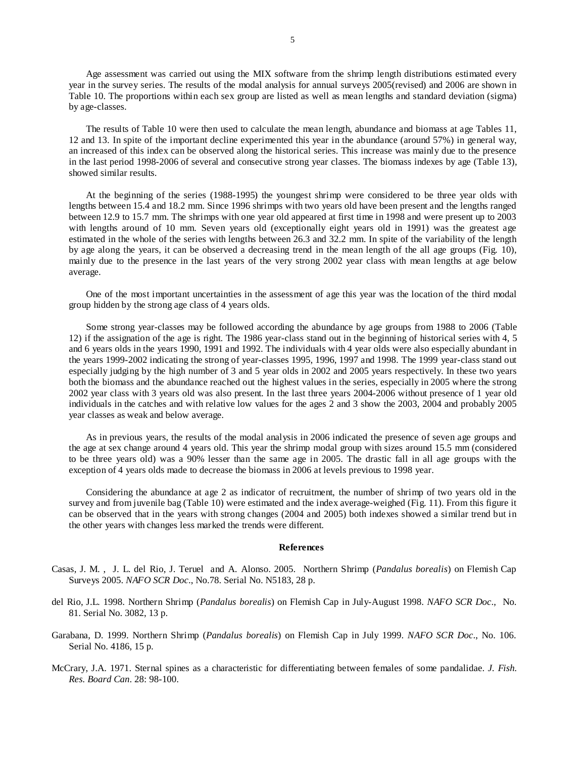Age assessment was carried out using the MIX software from the shrimp length distributions estimated every year in the survey series. The results of the modal analysis for annual surveys 2005(revised) and 2006 are shown in Table 10. The proportions within each sex group are listed as well as mean lengths and standard deviation (sigma) by age-classes.

The results of Table 10 were then used to calculate the mean length, abundance and biomass at age Tables 11, 12 and 13. In spite of the important decline experimented this year in the abundance (around 57%) in general way, an increased of this index can be observed along the historical series. This increase was mainly due to the presence in the last period 1998-2006 of several and consecutive strong year classes. The biomass indexes by age (Table 13), showed similar results.

At the beginning of the series (1988-1995) the youngest shrimp were considered to be three year olds with lengths between 15.4 and 18.2 mm. Since 1996 shrimps with two years old have been present and the lengths ranged between 12.9 to 15.7 mm. The shrimps with one year old appeared at first time in 1998 and were present up to 2003 with lengths around of 10 mm. Seven years old (exceptionally eight years old in 1991) was the greatest age estimated in the whole of the series with lengths between 26.3 and 32.2 mm. In spite of the variability of the length by age along the years, it can be observed a decreasing trend in the mean length of the all age groups (Fig. 10), mainly due to the presence in the last years of the very strong 2002 year class with mean lengths at age below average.

One of the most important uncertainties in the assessment of age this year was the location of the third modal group hidden by the strong age class of 4 years olds.

Some strong year-classes may be followed according the abundance by age groups from 1988 to 2006 (Table 12) if the assignation of the age is right. The 1986 year-class stand out in the beginning of historical series with 4, 5 and 6 years olds in the years 1990, 1991 and 1992. The individuals with 4 year olds were also especially abundant in the years 1999-2002 indicating the strong of year-classes 1995, 1996, 1997 and 1998. The 1999 year-class stand out especially judging by the high number of 3 and 5 year olds in 2002 and 2005 years respectively. In these two years both the biomass and the abundance reached out the highest values in the series, especially in 2005 where the strong 2002 year class with 3 years old was also present. In the last three years 2004-2006 without presence of 1 year old individuals in the catches and with relative low values for the ages 2 and 3 show the 2003, 2004 and probably 2005 year classes as weak and below average.

As in previous years, the results of the modal analysis in 2006 indicated the presence of seven age groups and the age at sex change around 4 years old. This year the shrimp modal group with sizes around 15.5 mm (considered to be three years old) was a 90% lesser than the same age in 2005. The drastic fall in all age groups with the exception of 4 years olds made to decrease the biomass in 2006 at levels previous to 1998 year.

Considering the abundance at age 2 as indicator of recruitment, the number of shrimp of two years old in the survey and from juvenile bag (Table 10) were estimated and the index average-weighed (Fig. 11). From this figure it can be observed that in the years with strong changes (2004 and 2005) both indexes showed a similar trend but in the other years with changes less marked the trends were different.

#### **References**

- Casas, J. M. , J. L. del Rio, J. Teruel and A. Alonso. 2005. Northern Shrimp (*Pandalus borealis*) on Flemish Cap Surveys 2005. *NAFO SCR Doc*., No.78. Serial No. N5183, 28 p.
- del Rio, J.L. 1998. Northern Shrimp (*Pandalus borealis*) on Flemish Cap in July-August 1998. *NAFO SCR Doc*., No. 81. Serial No. 3082, 13 p.
- Garabana, D. 1999. Northern Shrimp (*Pandalus borealis*) on Flemish Cap in July 1999. *NAFO SCR Doc*., No. 106. Serial No. 4186, 15 p.
- McCrary, J.A. 1971. Sternal spines as a characteristic for differentiating between females of some pandalidae. *J. Fish. Res. Board Can*. 28: 98-100.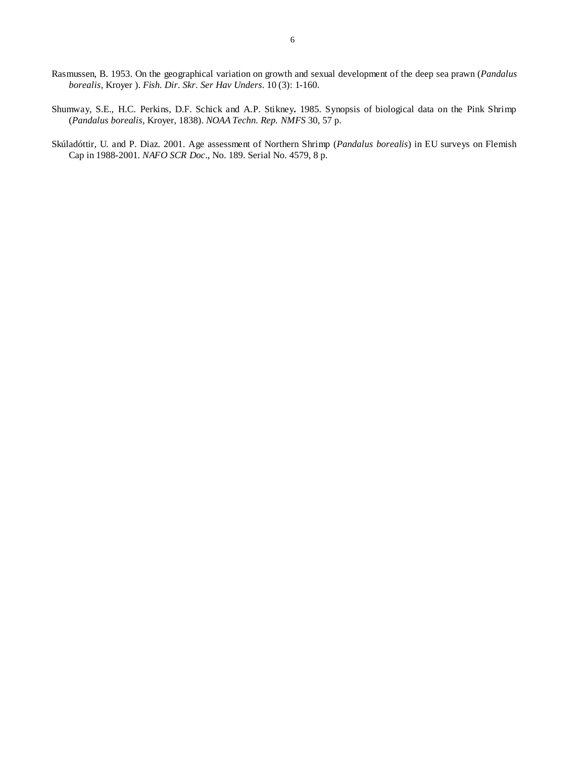- Rasmussen, B. 1953. On the geographical variation on growth and sexual development of the deep sea prawn (*Pandalus borealis*, Kroyer ). *Fish. Dir. Skr. Ser Hav Unders*. 10 (3): 1-160.
- Shumway, S.E., H.C. Perkins, D.F. Schick and A.P. Stikney**.** 1985. Synopsis of biological data on the Pink Shrimp (*Pandalus borealis*, Kroyer, 1838). *NOAA Techn. Rep. NMFS* 30, 57 p.
- Skúladóttir, U. and P. Diaz. 2001. Age assessment of Northern Shrimp (*Pandalus borealis*) in EU surveys on Flemish Cap in 1988-2001. *NAFO SCR Doc*., No. 189. Serial No. 4579, 8 p.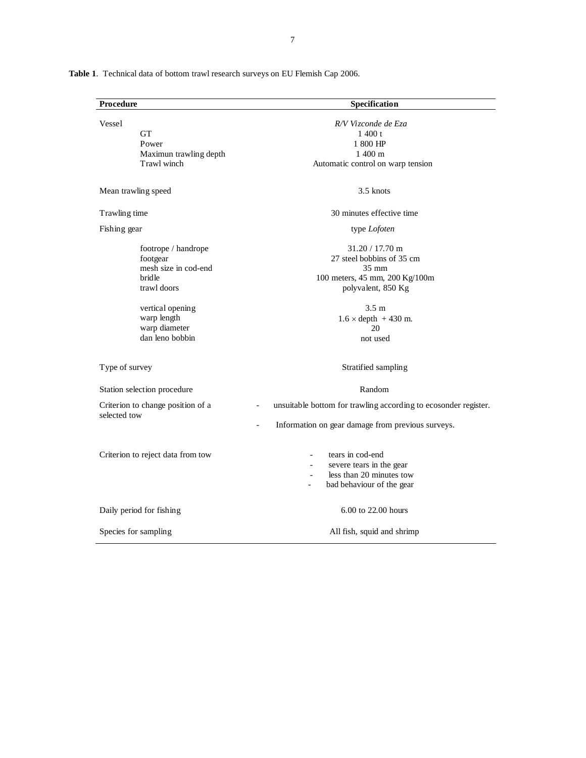| Procedure                                                                                                                                               | Specification                                                                                                                                                                       |
|---------------------------------------------------------------------------------------------------------------------------------------------------------|-------------------------------------------------------------------------------------------------------------------------------------------------------------------------------------|
| Vessel<br><b>GT</b><br>Power<br>Maximun trawling depth<br>Trawl winch                                                                                   | R/V Vizconde de Eza<br>1400 t<br>1 800 HP<br>$1400 \text{ m}$<br>Automatic control on warp tension                                                                                  |
| Mean trawling speed                                                                                                                                     | 3.5 knots                                                                                                                                                                           |
| Trawling time                                                                                                                                           | 30 minutes effective time                                                                                                                                                           |
| Fishing gear                                                                                                                                            | type Lofoten                                                                                                                                                                        |
| footrope / handrope<br>footgear<br>mesh size in cod-end<br>bridle<br>trawl doors<br>vertical opening<br>warp length<br>warp diameter<br>dan leno bobbin | $31.20 / 17.70$ m<br>27 steel bobbins of 35 cm<br>35 mm<br>100 meters, 45 mm, 200 Kg/100m<br>polyvalent, 850 Kg<br>$3.5 \text{ m}$<br>$1.6 \times depth$ + 430 m.<br>20<br>not used |
| Type of survey                                                                                                                                          | Stratified sampling                                                                                                                                                                 |
| Station selection procedure                                                                                                                             | Random                                                                                                                                                                              |
| Criterion to change position of a<br>selected tow                                                                                                       | unsuitable bottom for trawling according to ecosonder register.<br>Information on gear damage from previous surveys.                                                                |
| Criterion to reject data from tow                                                                                                                       | tears in cod-end<br>severe tears in the gear<br>$\overline{a}$<br>less than 20 minutes tow<br>bad behaviour of the gear                                                             |
| Daily period for fishing                                                                                                                                | 6.00 to 22.00 hours                                                                                                                                                                 |
| Species for sampling                                                                                                                                    | All fish, squid and shrimp                                                                                                                                                          |

Table 1. Technical data of bottom trawl research surveys on EU Flemish Cap 2006.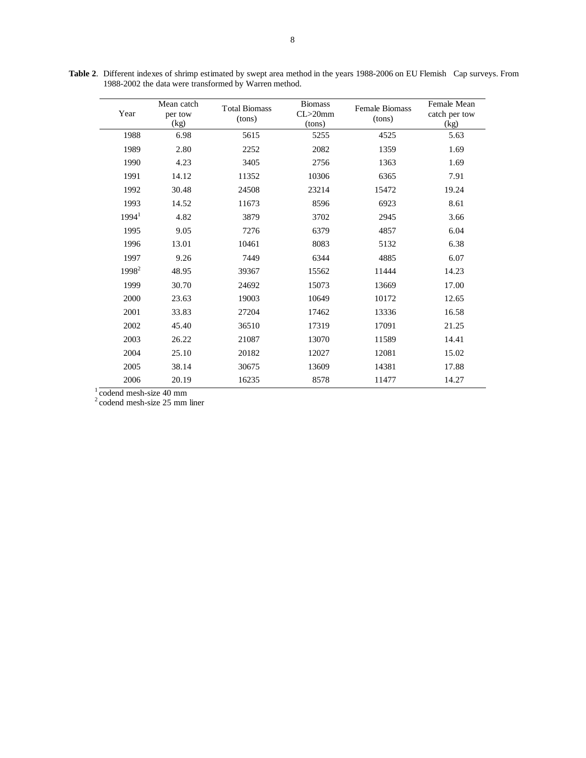| Year              | Mean catch<br>per tow<br>(kg) | <b>Total Biomass</b><br>(tons) | <b>Biomass</b><br>$CL > 20$ mm<br>(tons) | <b>Female Biomass</b><br>(tons) | Female Mean<br>catch per tow<br>(kg) |
|-------------------|-------------------------------|--------------------------------|------------------------------------------|---------------------------------|--------------------------------------|
| 1988              | 6.98                          | 5615                           | 5255                                     | 4525                            | 5.63                                 |
| 1989              | 2.80                          | 2252                           | 2082                                     | 1359                            | 1.69                                 |
| 1990              | 4.23                          | 3405                           | 2756                                     | 1363                            | 1.69                                 |
| 1991              | 14.12                         | 11352                          | 10306                                    | 6365                            | 7.91                                 |
| 1992              | 30.48                         | 24508                          | 23214                                    | 15472                           | 19.24                                |
| 1993              | 14.52                         | 11673                          | 8596                                     | 6923                            | 8.61                                 |
| 1994 <sup>1</sup> | 4.82                          | 3879                           | 3702                                     | 2945                            | 3.66                                 |
| 1995              | 9.05                          | 7276                           | 6379                                     | 4857                            | 6.04                                 |
| 1996              | 13.01                         | 10461                          | 8083                                     | 5132                            | 6.38                                 |
| 1997              | 9.26                          | 7449                           | 6344                                     | 4885                            | 6.07                                 |
| 1998 <sup>2</sup> | 48.95                         | 39367                          | 15562                                    | 11444                           | 14.23                                |
| 1999              | 30.70                         | 24692                          | 15073                                    | 13669                           | 17.00                                |
| 2000              | 23.63                         | 19003                          | 10649                                    | 10172                           | 12.65                                |
| 2001              | 33.83                         | 27204                          | 17462                                    | 13336                           | 16.58                                |
| 2002              | 45.40                         | 36510                          | 17319                                    | 17091                           | 21.25                                |
| 2003              | 26.22                         | 21087                          | 13070                                    | 11589                           | 14.41                                |
| 2004              | 25.10                         | 20182                          | 12027                                    | 12081                           | 15.02                                |
| 2005              | 38.14                         | 30675                          | 13609                                    | 14381                           | 17.88                                |
| 2006              | 20.19                         | 16235                          | 8578                                     | 11477                           | 14.27                                |

**Table 2**. Different indexes of shrimp estimated by swept area method in the years 1988-2006 on EU Flemish Cap surveys. From 1988-2002 the data were transformed by Warren method.

 $1 \overline{\text{codend mesh-size } 40 \text{ mm}}$ 

2 codend mesh-size 25 mm liner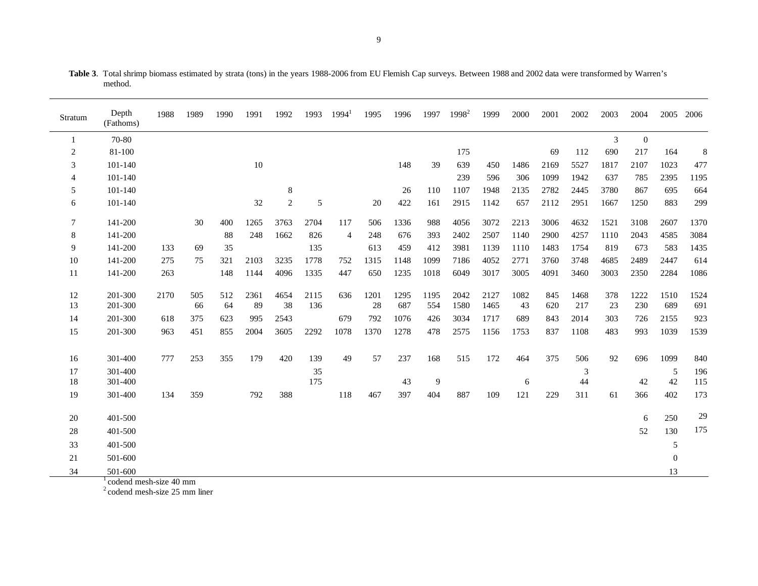| Stratum  | Depth<br>(Fathoms)           | 1988         | 1989      | 1990      | 1991       | 1992         | 1993        | $1994^1$ | 1995       | 1996        | 1997        | $1998^2$     | 1999         | 2000       | 2001       | 2002        | 2003      | 2004        | 2005        | 2006        |
|----------|------------------------------|--------------|-----------|-----------|------------|--------------|-------------|----------|------------|-------------|-------------|--------------|--------------|------------|------------|-------------|-----------|-------------|-------------|-------------|
|          | 70-80                        |              |           |           |            |              |             |          |            |             |             |              |              |            |            |             | 3         | $\theta$    |             |             |
| 2        | 81-100                       |              |           |           |            |              |             |          |            |             |             | 175          |              |            | 69         | 112         | 690       | 217         | 164         | 8           |
| 3        | 101-140                      |              |           |           | 10         |              |             |          |            | 148         | 39          | 639          | 450          | 1486       | 2169       | 5527        | 1817      | 2107        | 1023        | 477         |
| 4        | 101-140                      |              |           |           |            |              |             |          |            |             |             | 239          | 596          | 306        | 1099       | 1942        | 637       | 785         | 2395        | 1195        |
| 5        | 101-140                      |              |           |           |            | 8            |             |          |            | 26          | 110         | 1107         | 1948         | 2135       | 2782       | 2445        | 3780      | 867         | 695         | 664         |
| 6        | 101-140                      |              |           |           | 32         | $\mathbf{2}$ | 5           |          | 20         | 422         | 161         | 2915         | 1142         | 657        | 2112       | 2951        | 1667      | 1250        | 883         | 299         |
| 7        | 141-200                      |              | 30        | 400       | 1265       | 3763         | 2704        | 117      | 506        | 1336        | 988         | 4056         | 3072         | 2213       | 3006       | 4632        | 1521      | 3108        | 2607        | 1370        |
| 8        | 141-200                      |              |           | 88        | 248        | 1662         | 826         | 4        | 248        | 676         | 393         | 2402         | 2507         | 1140       | 2900       | 4257        | 1110      | 2043        | 4585        | 3084        |
| 9        | 141-200                      | 133          | 69        | 35        |            |              | 135         |          | 613        | 459         | 412         | 3981         | 1139         | 1110       | 1483       | 1754        | 819       | 673         | 583         | 1435        |
| 10       | 141-200                      | 275          | 75        | 321       | 2103       | 3235         | 1778        | 752      | 1315       | 1148        | 1099        | 7186         | 4052         | 2771       | 3760       | 3748        | 4685      | 2489        | 2447        | 614         |
| 11       | 141-200                      | 263          |           | 148       | 1144       | 4096         | 1335        | 447      | 650        | 1235        | 1018        | 6049         | 3017         | 3005       | 4091       | 3460        | 3003      | 2350        | 2284        | 1086        |
| 12<br>13 | 201-300<br>201-300           | 2170         | 505<br>66 | 512<br>64 | 2361<br>89 | 4654<br>38   | 2115<br>136 | 636      | 1201<br>28 | 1295<br>687 | 1195<br>554 | 2042<br>1580 | 2127<br>1465 | 1082<br>43 | 845<br>620 | 1468<br>217 | 378<br>23 | 1222<br>230 | 1510<br>689 | 1524<br>691 |
| 14       | 201-300                      | 618          | 375       | 623       | 995        | 2543         |             | 679      | 792        | 1076        | 426         | 3034         | 1717         | 689        | 843        | 2014        | 303       | 726         | 2155        | 923         |
| 15       | 201-300                      | 963          | 451       | 855       | 2004       | 3605         | 2292        | 1078     | 1370       | 1278        | 478         | 2575         | 1156         | 1753       | 837        | 1108        | 483       | 993         | 1039        | 1539        |
| 16       | 301-400                      | 777          | 253       | 355       | 179        | 420          | 139         | 49       | 57         | 237         | 168         | 515          | 172          | 464        | 375        | 506         | 92        | 696         | 1099        | 840         |
| 17       | 301-400                      |              |           |           |            |              | 35          |          |            |             |             |              |              |            |            | 3           |           |             | 5           | 196         |
| 18       | 301-400                      |              |           |           |            |              | 175         |          |            | 43          | 9           |              |              | 6          |            | 44          |           | 42          | 42          | 115         |
| 19       | 301-400                      | 134          | 359       |           | 792        | 388          |             | 118      | 467        | 397         | 404         | 887          | 109          | 121        | 229        | 311         | 61        | 366         | 402         | 173         |
| 20       | 401-500                      |              |           |           |            |              |             |          |            |             |             |              |              |            |            |             |           | 6           | 250         | 29          |
| 28       | 401-500                      |              |           |           |            |              |             |          |            |             |             |              |              |            |            |             |           | 52          | 130         | 175         |
| 33       | 401-500                      |              |           |           |            |              |             |          |            |             |             |              |              |            |            |             |           |             | 5           |             |
| 21       | 501-600                      |              |           |           |            |              |             |          |            |             |             |              |              |            |            |             |           |             | $\theta$    |             |
| 34       | 501-600<br>$\sim$ 100 $\sim$ | $1 \cdot 10$ |           |           |            |              |             |          |            |             |             |              |              |            |            |             |           |             | 13          |             |

**Table 3**. Total shrimp biomass estimated by strata (tons) in the years 1988-2006 from EU Flemish Cap surveys. Between 1988 and 2002 data were transformed by Warren's method.

<sup>1</sup> codend mesh-size 40 mm

2 codend mesh-size 25 mm liner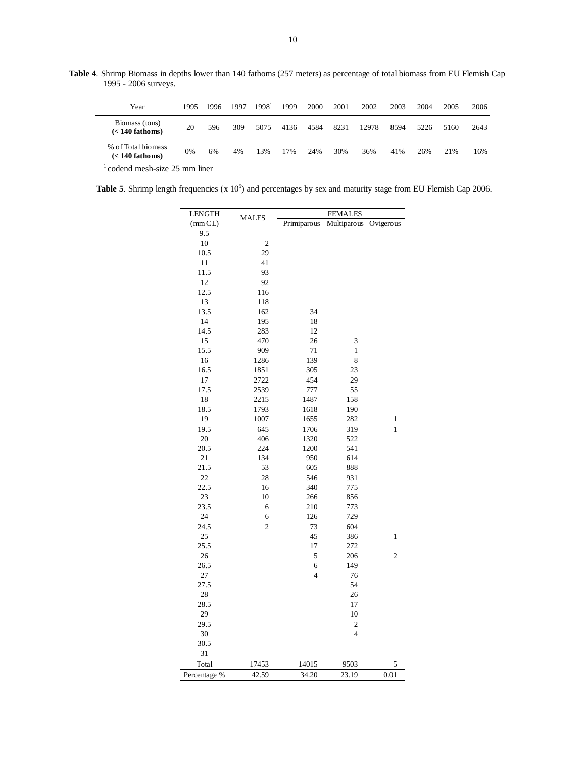**Table 4**. Shrimp Biomass in depths lower than 140 fathoms (257 meters) as percentage of total biomass from EU Flemish Cap 1995 - 2006 surveys.

| Year                                    | 1995 | 1996 | 1997 | 1998 <sup>1</sup> | 1999 | 2000 | 2001 | 2002  | 2003 | 2004 | 2005 | 2006 |
|-----------------------------------------|------|------|------|-------------------|------|------|------|-------|------|------|------|------|
| Biomass (tons)<br>$(< 140$ fathoms)     | 20   | 596  | 309  | 5075              | 4136 | 4584 | 8231 | 12978 | 8594 | 5226 | 5160 | 2643 |
| % of Total biomass<br>$(< 140$ fathoms) | 0%   | 6%   | 4%   | 13%               | 17%  | 24%  | 30%  | 36%   | 41%  | 26%  | 21%  | 16%  |
|                                         |      |      |      |                   |      |      |      |       |      |      |      |      |

<sup>1</sup> codend mesh-size 25 mm liner

**Table 5.** Shrimp length frequencies  $(x 10^5)$  and percentages by sex and maturity stage from EU Flemish Cap 2006.

| <b>LENGTH</b> | <b>MALES</b>            |                         | <b>FEMALES</b>          |                |
|---------------|-------------------------|-------------------------|-------------------------|----------------|
| (mmCL)        |                         | Primiparous             | Multiparous             | Ovigerous      |
| 9.5           |                         |                         |                         |                |
| 10            | $\overline{\mathbf{c}}$ |                         |                         |                |
| 10.5          | 29                      |                         |                         |                |
| 11            | 41                      |                         |                         |                |
| 11.5          | 93                      |                         |                         |                |
| 12            | 92                      |                         |                         |                |
| 12.5          | 116                     |                         |                         |                |
| 13            | 118                     |                         |                         |                |
| 13.5          | 162                     | 34                      |                         |                |
| 14            | 195                     | 18                      |                         |                |
| 14.5          | 283                     | 12                      |                         |                |
| 15            | 470                     | 26                      | 3                       |                |
| 15.5          | 909                     | 71                      | 1                       |                |
| 16            | 1286                    | 139                     | 8                       |                |
| 16.5          | 1851                    | 305                     | 23                      |                |
| 17            | 2722                    | 454                     | 29                      |                |
| 17.5          | 2539                    | 777                     | 55                      |                |
| 18            | 2215                    | 1487                    | 158                     |                |
| 18.5          | 1793                    | 1618                    | 190                     |                |
| 19            | 1007                    | 1655                    | 282                     | 1              |
| 19.5          | 645                     | 1706                    | 319                     | $\mathbf{1}$   |
| 20            | 406                     | 1320                    | 522                     |                |
| 20.5          | 224                     | 1200                    | 541                     |                |
| 21            | 134                     | 950                     | 614                     |                |
| 21.5          | 53                      | 605                     | 888                     |                |
| 22            | 28                      | 546                     | 931                     |                |
| 22.5          | 16                      | 340                     | 775                     |                |
| 23            | 10                      | 266                     | 856                     |                |
| 23.5          | 6                       | 210                     | 773                     |                |
| 24            | 6                       | 126                     | 729                     |                |
| 24.5          | $\overline{c}$          | 73                      | 604                     |                |
| 25            |                         | 45                      | 386                     | $\mathbf{1}$   |
| 25.5          |                         | 17                      | 272                     |                |
| 26            |                         | 5                       | 206                     | $\mathfrak{2}$ |
| 26.5          |                         | 6                       | 149                     |                |
| 27            |                         | $\overline{\mathbf{4}}$ | 76                      |                |
| 27.5          |                         |                         | 54                      |                |
| 28            |                         |                         | 26                      |                |
| 28.5          |                         |                         | 17                      |                |
| 29            |                         |                         | 10                      |                |
| 29.5          |                         |                         | $\overline{\mathbf{c}}$ |                |
| 30            |                         |                         | $\overline{4}$          |                |
| 30.5          |                         |                         |                         |                |
| 31            |                         |                         |                         |                |
| Total         | 17453                   | 14015                   | 9503                    | 5              |
| Percentage %  | 42.59                   | 34.20                   | 23.19                   | 0.01           |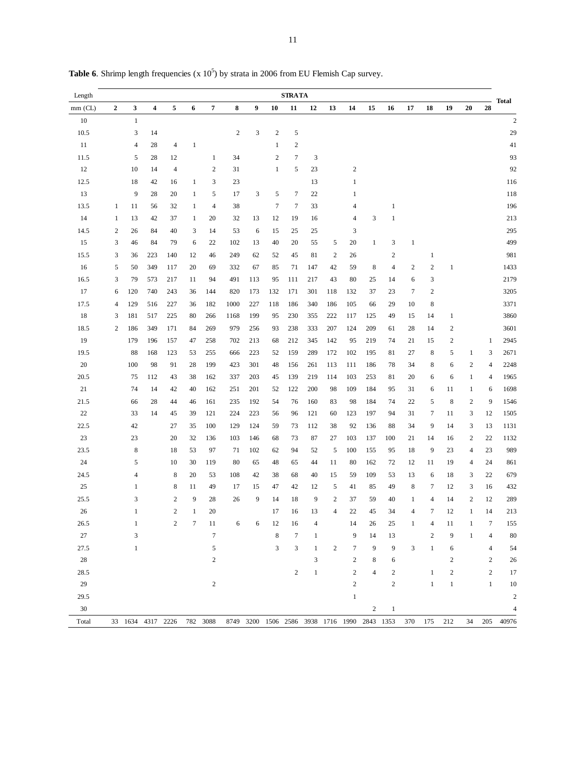| Length    |                  |                |                   |                |              |                  |            |                           |                  | <b>STRATA</b>    |                                         |                  |                         |                |                |                |                  |                         |                |                | <b>Total</b>            |
|-----------|------------------|----------------|-------------------|----------------|--------------|------------------|------------|---------------------------|------------------|------------------|-----------------------------------------|------------------|-------------------------|----------------|----------------|----------------|------------------|-------------------------|----------------|----------------|-------------------------|
| $mm$ (CL) | $\boldsymbol{2}$ | 3              | 4                 | 5              | 6            | 7                | 8          | 9                         | 10               | 11               | 12                                      | 13               | 14                      | 15             | 16             | 17             | 18               | 19                      | 20             | 28             |                         |
| 10        |                  | $\mathbf{1}$   |                   |                |              |                  |            |                           |                  |                  |                                         |                  |                         |                |                |                |                  |                         |                |                | $\overline{c}$          |
| 10.5      |                  | 3              | 14                |                |              |                  | $\sqrt{2}$ | $\ensuremath{\mathsf{3}}$ | $\sqrt{2}$       | 5                |                                         |                  |                         |                |                |                |                  |                         |                |                | 29                      |
| 11        |                  | $\overline{4}$ | 28                | $\overline{4}$ | 1            |                  |            |                           | $\mathbf{1}$     | $\overline{c}$   |                                         |                  |                         |                |                |                |                  |                         |                |                | 41                      |
| 11.5      |                  | 5              | 28                | 12             |              | $\mathbf{1}$     | 34         |                           | $\overline{2}$   | $\tau$           | 3                                       |                  |                         |                |                |                |                  |                         |                |                | 93                      |
| 12        |                  | 10             | 14                | $\overline{4}$ |              | $\overline{c}$   | 31         |                           | $\mathbf 1$      | 5                | 23                                      |                  | $\overline{\mathbf{c}}$ |                |                |                |                  |                         |                |                | 92                      |
| 12.5      |                  | 18             | 42                | 16             | $\mathbf{1}$ | 3                | 23         |                           |                  |                  | 13                                      |                  | $\mathbf{1}$            |                |                |                |                  |                         |                |                | 116                     |
| 13        |                  | 9              | 28                | 20             | 1            | 5                | 17         | 3                         | 5                | $\tau$           | 22                                      |                  | 1                       |                |                |                |                  |                         |                |                | 118                     |
| 13.5      | $\mathbf{1}$     | 11             | 56                | 32             | $\mathbf{1}$ | $\overline{4}$   | 38         |                           | $\boldsymbol{7}$ | $\tau$           | 33                                      |                  | 4                       |                | $\mathbf{1}$   |                |                  |                         |                |                | 196                     |
| 14        | $\mathbf{1}$     | 13             | 42                | 37             | $\mathbf{1}$ | 20               | 32         | 13                        | 12               | 19               | 16                                      |                  | $\overline{4}$          | 3              | 1              |                |                  |                         |                |                | 213                     |
| 14.5      | $\boldsymbol{2}$ | 26             | 84                | 40             | 3            | 14               | 53         | 6                         | 15               | 25               | 25                                      |                  | 3                       |                |                |                |                  |                         |                |                | 295                     |
| 15        | 3                | 46             | 84                | 79             | 6            | 22               | 102        | 13                        | 40               | 20               | 55                                      | 5                | 20                      | $\mathbf{1}$   | 3              | $\mathbf{1}$   |                  |                         |                |                | 499                     |
| 15.5      | 3                | 36             | 223               | 140            | 12           | 46               | 249        | 62                        | 52               | 45               | 81                                      | $\boldsymbol{2}$ | 26                      |                | $\sqrt{2}$     |                | $\mathbf{1}$     |                         |                |                | 981                     |
| 16        | 5                | 50             | 349               | 117            | 20           | 69               | 332        | 67                        | 85               | 71               | 147                                     | 42               | 59                      | $\,$ 8 $\,$    | $\overline{4}$ | $\overline{c}$ | $\boldsymbol{2}$ | $\mathbf{1}$            |                |                | 1433                    |
| 16.5      | 3                | 79             | 573               | 217            | 11           | 94               | 491        | 113                       | 95               | 111              | 217                                     | 43               | 80                      | 25             | 14             | 6              | 3                |                         |                |                | 2179                    |
| 17        | 6                | 120            | 740               | 243            | 36           | 144              | 820        | 173                       | 132              | 171              | 301                                     | 118              | 132                     | 37             | 23             | $\tau$         | $\boldsymbol{2}$ |                         |                |                | 3205                    |
| 17.5      | 4                | 129            | 516               | 227            | 36           | 182              | 1000       | 227                       | 118              | 186              | 340                                     | 186              | 105                     | 66             | 29             | 10             | 8                |                         |                |                | 3371                    |
| 18        | 3                | 181            | 517               | 225            | 80           | 266              | 1168       | 199                       | 95               | 230              | 355                                     | 222              | 117                     | 125            | 49             | 15             | 14               | $\mathbf{1}$            |                |                | 3860                    |
| 18.5      | $\overline{c}$   | 186            | 349               | 171            | 84           | 269              | 979        | 256                       | 93               | 238              | 333                                     | 207              | 124                     | 209            | 61             | 28             | 14               | $\overline{\mathbf{c}}$ |                |                | 3601                    |
| 19        |                  | 179            | 196               | 157            | 47           | 258              | 702        | 213                       | 68               | 212              | 345                                     | 142              | 95                      | 219            | 74             | 21             | 15               | $\overline{\mathbf{c}}$ |                | $\mathbf{1}$   | 2945                    |
| 19.5      |                  | 88             | 168               | 123            | 53           | 255              | 666        | 223                       | 52               | 159              | 289                                     | 172              | 102                     | 195            | 81             | 27             | 8                | 5                       | $\mathbf{1}$   | 3              | 2671                    |
| 20        |                  | 100            | 98                | 91             | 28           | 199              | 423        | 301                       | 48               | 156              | 261                                     | 113              | 111                     | 186            | 78             | 34             | 8                | 6                       | $\overline{c}$ | $\overline{4}$ | 2248                    |
| 20.5      |                  | 75             | 112               | 43             | 38           | 162              | 337        | 203                       | 45               | 139              | 219                                     | 114              | 103                     | 253            | 81             | 20             | 6                | 6                       | $\mathbf{1}$   | 4              | 1965                    |
| 21        |                  | 74             | 14                | 42             | 40           | 162              | 251        | 201                       | 52               | 122              | 200                                     | 98               | 109                     | 184            | 95             | 31             | 6                | 11                      | 1              | 6              | 1698                    |
| 21.5      |                  | 66             | 28                | 44             | 46           | 161              | 235        | 192                       | 54               | 76               | 160                                     | 83               | 98                      | 184            | 74             | 22             | 5                | $\,8\,$                 | $\sqrt{2}$     | $\overline{9}$ | 1546                    |
| 22        |                  | 33             | 14                | 45             | 39           | 121              | 224        | 223                       | 56               | 96               | 121                                     | 60               | 123                     | 197            | 94             | 31             | 7                | 11                      | 3              | 12             | 1505                    |
| 22.5      |                  | 42             |                   | 27             | 35           | 100              | 129        | 124                       | 59               | 73               | 112                                     | 38               | 92                      | 136            | 88             | 34             | 9                | 14                      | 3              | 13             | 1131                    |
| 23        |                  | 23             |                   | 20             | 32           | 136              | 103        | 146                       | 68               | 73               | 87                                      | 27               | 103                     | 137            | 100            | 21             | 14               | 16                      | $\overline{c}$ | 22             | 1132                    |
| 23.5      |                  | $\,$ 8 $\,$    |                   | 18             | 53           | 97               | 71         | 102                       | 62               | 94               | 52                                      | 5                | 100                     | 155            | 95             | 18             | 9                | 23                      | 4              | 23             | 989                     |
| 24        |                  | 5              |                   | 10             | 30           | 119              | 80         | 65                        | 48               | 65               | 44                                      | 11               | 80                      | 162            | 72             | 12             | 11               | 19                      | 4              | 24             | 861                     |
| 24.5      |                  | $\overline{4}$ |                   | 8              | 20           | 53               | 108        | 42                        | 38               | 68               | 40                                      | 15               | 59                      | 109            | 53             | 13             | 6                | 18                      | 3              | 22             | 679                     |
| 25        |                  | 1              |                   | 8              | 11           | 49               | 17         | 15                        | 47               | 42               | 12                                      | 5                | 41                      | 85             | 49             | 8              | 7                | 12                      | 3              | 16             | 432                     |
| 25.5      |                  | $\mathfrak{Z}$ |                   | $\sqrt{2}$     | 9            | 28               | 26         | 9                         | 14               | 18               | 9                                       | $\sqrt{2}$       | 37                      | 59             | 40             | 1              | $\overline{4}$   | 14                      | $\mathbf{2}$   | 12             | 289                     |
| 26        |                  | $\mathbf{1}$   |                   | $\overline{c}$ | 1            | 20               |            |                           | 17               | 16               | 13                                      | 4                | 22                      | 45             | 34             | 4              | 7                | 12                      | 1              | 14             | 213                     |
| 26.5      |                  | $\mathbf{1}$   |                   | $\overline{c}$ | 7            | 11               | 6          | 6                         | 12               | 16               | 4                                       |                  | 14                      | 26             | 25             | $\mathbf{1}$   | 4                | 11                      | 1              | 7              | 155                     |
| 27        |                  | 3              |                   |                |              | $\boldsymbol{7}$ |            |                           | $\bf 8$          | $\tau$           | 1                                       |                  | 9                       | 14             | 13             |                | $\boldsymbol{2}$ | 9                       | $\mathbf{1}$   | $\overline{4}$ | 80                      |
| 27.5      |                  | $\mathbf{1}$   |                   |                |              | 5                |            |                           | $\mathfrak{Z}$   | 3                | 1                                       | $\sqrt{2}$       | 7                       | 9              | 9              | $\mathfrak{Z}$ | $\mathbf{1}$     | 6                       |                | 4              | 54                      |
| $28\,$    |                  |                |                   |                |              | $\sqrt{2}$       |            |                           |                  |                  | 3                                       |                  | $\boldsymbol{2}$        | 8              | 6              |                |                  | $\overline{\mathbf{c}}$ |                | $\mathfrak{2}$ | 26                      |
| 28.5      |                  |                |                   |                |              |                  |            |                           |                  | $\boldsymbol{2}$ | $\mathbf{1}$                            |                  | $\overline{2}$          | $\overline{4}$ | $\sqrt{2}$     |                | $\mathbf{1}$     | $\overline{\mathbf{c}}$ |                | $\sqrt{2}$     | 17                      |
| 29        |                  |                |                   |                |              | $\sqrt{2}$       |            |                           |                  |                  |                                         |                  | $\overline{c}$          |                | $\,2$          |                | $\mathbf{1}$     | $\mathbf{1}$            |                | $\mathbf{1}$   | 10                      |
| 29.5      |                  |                |                   |                |              |                  |            |                           |                  |                  |                                         |                  | $\mathbf{1}$            |                |                |                |                  |                         |                |                | $\overline{\mathbf{c}}$ |
| 30        |                  |                |                   |                |              |                  |            |                           |                  |                  |                                         |                  |                         | $\overline{c}$ | $\mathbf{1}$   |                |                  |                         |                |                | $\overline{4}$          |
| Total     |                  |                | 33 1634 4317 2226 |                |              | 782 3088         | 8749       |                           |                  |                  | 3200 1506 2586 3938 1716 1990 2843 1353 |                  |                         |                |                | 370            | 175              | 212                     | 34             | 205            | 40976                   |

**Table 6.** Shrimp length frequencies  $(x 10^5)$  by strata in 2006 from EU Flemish Cap survey.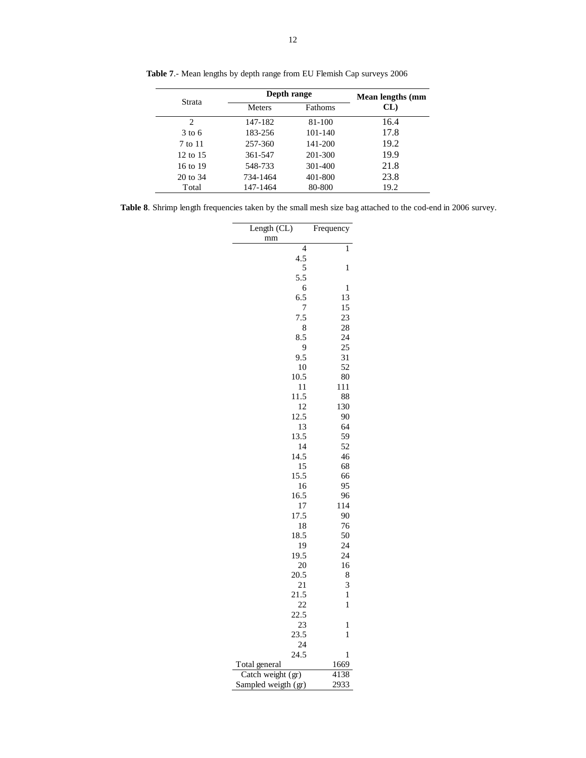|                     | Depth range   |         | Mean lengths (mm |
|---------------------|---------------|---------|------------------|
| Strata              | <b>Meters</b> | Fathoms | CL)              |
| 2                   | 147-182       | 81-100  | 16.4             |
| $3$ to 6            | 183-256       | 101-140 | 17.8             |
| 7 to 11             | 257-360       | 141-200 | 19.2             |
| $12 \text{ to } 15$ | 361-547       | 201-300 | 19.9             |
| 16 to 19            | 548-733       | 301-400 | 21.8             |
| 20 to 34            | 734-1464      | 401-800 | 23.8             |

Total 147-1464 80-800 19.2

**Table 7**.- Mean lengths by depth range from EU Flemish Cap surveys 2006

|  |  |  |  | <b>Table 8.</b> Shrimp length frequencies taken by the small mesh size bag attached to the cod-end in 2006 survey. |  |
|--|--|--|--|--------------------------------------------------------------------------------------------------------------------|--|
|  |  |  |  |                                                                                                                    |  |

 $\overline{\phantom{a}}$ 

| Length (CL)       | Frequency    |
|-------------------|--------------|
| mm                |              |
| $\overline{4}$    | 1            |
| 4.5               |              |
| 5                 | 1            |
| 5.5               |              |
| 6                 | 1            |
| 6.5<br>7          | 13<br>15     |
| 7.5               | 23           |
| 8                 | 28           |
| 8.5               | 24           |
| 9                 | 25           |
| 9.5               | 31           |
| 10                | 52           |
| 10.5              | 80           |
| 11                | 111          |
| 11.5              | 88           |
| 12                | 130          |
| 12.5              | 90           |
| 13                | 64           |
| 13.5              | 59           |
| 14                | 52           |
| 14.5              | 46           |
| 15<br>15.5        | 68           |
| 16                | 66<br>95     |
| 16.5              | 96           |
| 17                | 114          |
| 17.5              | 90           |
| 18                | 76           |
| 18.5              | 50           |
| 19                | 24           |
| 19.5              | 24           |
| 20                | 16           |
| 20.5              | 8            |
| 21                | 3            |
| 21.5              | $\mathbf{1}$ |
| 22                | 1            |
| 22.5              |              |
| 23                | 1            |
| 23.5              | $\mathbf{1}$ |
| 24<br>24.5        |              |
| Total general     | 1            |
|                   |              |
| Catch weight (gr) | 1669<br>4138 |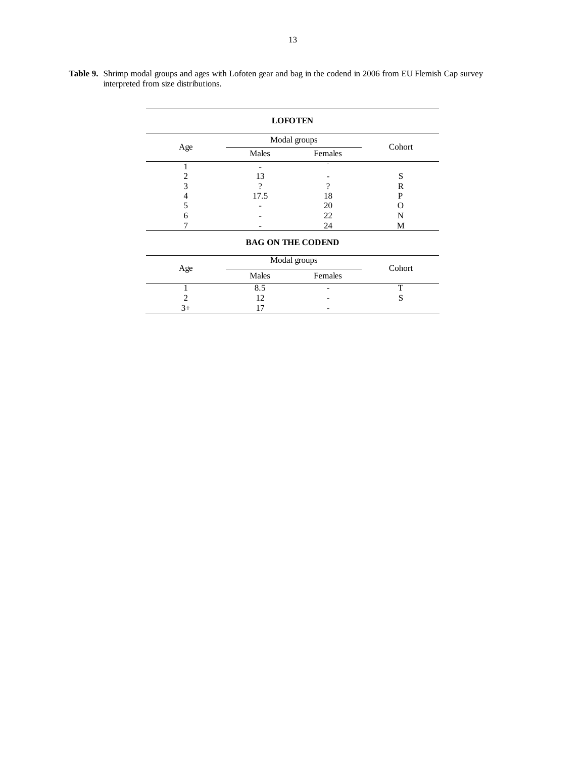|     |       | Modal groups |        |
|-----|-------|--------------|--------|
| Age | Males | Females      | Cohort |
|     |       | ۰            |        |
| ↑   | 13    |              | S      |
| 3   | ິ     | າ            | R      |
|     | 17.5  | 18           | P      |
| 5   |       | 20           |        |
| 6   |       | 22           | N      |
|     |       | 24           | М      |

|     | Modal groups | Cohort                   |  |
|-----|--------------|--------------------------|--|
| Age | Males        | Females                  |  |
|     | 8.5          | $\overline{\phantom{0}}$ |  |
|     |              | $\overline{\phantom{0}}$ |  |
| 3+  |              | $\overline{\phantom{0}}$ |  |

**Table 9.** Shrimp modal groups and ages with Lofoten gear and bag in the codend in 2006 from EU Flemish Cap survey interpreted from size distributions.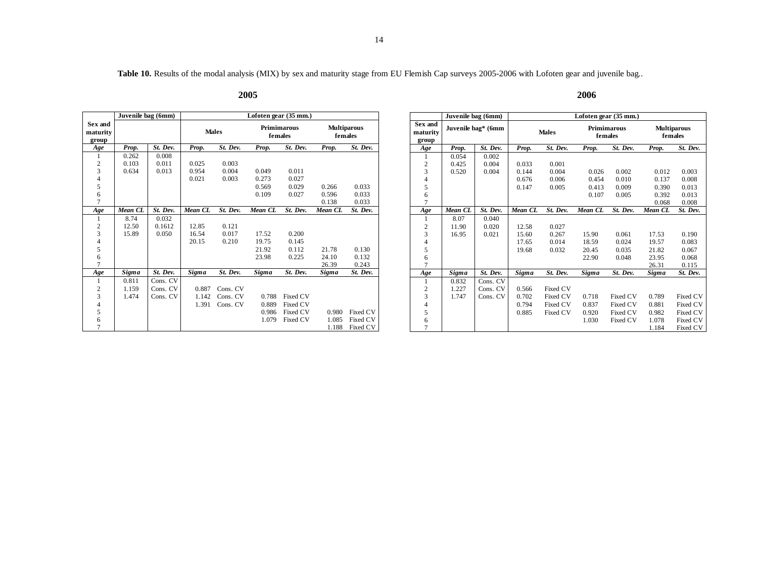Table 10. Results of the modal analysis (MIX) by sex and maturity stage from EU Flemish Cap surveys 2005-2006 with Lofoten gear and juvenile bag..

#### **2005 2006**

|                                                 | Juvenile bag (6mm) |          | Lofoten gear (35 mm.) |              |                               |                               |         |          |  |  |  |  |  |  |  |
|-------------------------------------------------|--------------------|----------|-----------------------|--------------|-------------------------------|-------------------------------|---------|----------|--|--|--|--|--|--|--|
| Sex and<br>maturity<br>group                    |                    |          |                       | <b>Males</b> | <b>Primimarous</b><br>females | <b>Multiparous</b><br>females |         |          |  |  |  |  |  |  |  |
| Age                                             | Prop.              | St. Dev. | Prop.                 | St. Dev.     | Prop.                         | St. Dev.                      | Prop.   | St. Dev. |  |  |  |  |  |  |  |
| 1                                               | 0.262              | 0.008    |                       |              |                               |                               |         |          |  |  |  |  |  |  |  |
|                                                 | 0.103              | 0.011    | 0.025                 | 0.003        |                               |                               |         |          |  |  |  |  |  |  |  |
| $\begin{array}{c} 2 \\ 3 \\ 4 \\ 5 \end{array}$ | 0.634              | 0.013    | 0.954                 | 0.004        | 0.049                         | 0.011                         |         |          |  |  |  |  |  |  |  |
|                                                 |                    |          | 0.021                 | 0.003        | 0.273                         | 0.027                         |         |          |  |  |  |  |  |  |  |
|                                                 |                    |          |                       |              | 0.569                         | 0.029                         | 0.266   | 0.033    |  |  |  |  |  |  |  |
| 6                                               |                    |          |                       |              | 0.109                         | 0.027                         | 0.596   | 0.033    |  |  |  |  |  |  |  |
| $\overline{7}$                                  |                    |          |                       |              |                               |                               | 0.138   | 0.033    |  |  |  |  |  |  |  |
| Age                                             | Mean CL            | St. Dev. | Mean CL               | St. Dev.     | Mean CL                       | St. Dev.                      | Mean CL | St. Dev. |  |  |  |  |  |  |  |
| 1                                               | 8.74               | 0.032    |                       |              |                               |                               |         |          |  |  |  |  |  |  |  |
|                                                 | 12.50              | 0.1612   | 12.85                 | 0.121        |                               |                               |         |          |  |  |  |  |  |  |  |
|                                                 | 15.89              | 0.050    | 16.54                 | 0.017        | 17.52                         | 0.200                         |         |          |  |  |  |  |  |  |  |
| $\begin{array}{c} 2 \\ 3 \\ 4 \\ 5 \end{array}$ |                    |          | 20.15                 | 0.210        | 19.75                         | 0.145                         |         |          |  |  |  |  |  |  |  |
|                                                 |                    |          |                       |              | 21.92                         | 0.112                         | 21.78   | 0.130    |  |  |  |  |  |  |  |
| 6                                               |                    |          |                       |              | 23.98                         | 0.225                         | 24.10   | 0.132    |  |  |  |  |  |  |  |
| $\overline{7}$                                  |                    |          |                       |              |                               |                               | 26.39   | 0.243    |  |  |  |  |  |  |  |
| Age                                             | Sigma              | St. Dev. | <b>Sigma</b>          | St. Dev.     | <b>Sigma</b>                  | St. Dev.                      | Sigma   | St. Dev. |  |  |  |  |  |  |  |
| $\mathbf{1}$                                    | 0.811              | Cons. CV |                       |              |                               |                               |         |          |  |  |  |  |  |  |  |
| $\boldsymbol{2}$                                | 1.159              | Cons. CV | 0.887                 | Cons. CV     |                               |                               |         |          |  |  |  |  |  |  |  |
| 3                                               | 1.474              | Cons. CV | 1.142                 | Cons. CV     | 0.788                         | Fixed CV                      |         |          |  |  |  |  |  |  |  |
|                                                 |                    |          | 1.391                 | Cons. CV     | 0.889                         | Fixed CV                      |         |          |  |  |  |  |  |  |  |
| $\frac{4}{5}$                                   |                    |          |                       |              | 0.986                         | Fixed CV                      | 0.980   | Fixed CV |  |  |  |  |  |  |  |
| $\frac{6}{7}$                                   |                    |          |                       |              | 1.079                         | Fixed CV                      | 1.085   | Fixed CV |  |  |  |  |  |  |  |
|                                                 |                    |          |                       |              |                               |                               | 1.188   | Fixed CV |  |  |  |  |  |  |  |

|                              | Juvenile bag (6mm) |                    | Lofoten gear (35 mm.) |              |                    |          |                               |          |  |  |  |  |  |  |
|------------------------------|--------------------|--------------------|-----------------------|--------------|--------------------|----------|-------------------------------|----------|--|--|--|--|--|--|
| Sex and<br>maturity<br>group |                    | Juvenile bag* (6mm |                       | <b>Males</b> | <b>Primimarous</b> | females  | <b>Multiparous</b><br>females |          |  |  |  |  |  |  |
| Age                          | Prop.              | St. Dev.           | Prop.                 | St. Dev.     | Prop.              | St. Dev. | Prop.                         | St. Dev. |  |  |  |  |  |  |
| 1                            | 0.054              | 0.002              |                       |              |                    |          |                               |          |  |  |  |  |  |  |
|                              | 0.425              | 0.004              | 0.033                 | 0.001        |                    |          |                               |          |  |  |  |  |  |  |
| $\frac{2}{3}$                | 0.520              | 0.004              | 0.144                 | 0.004        | 0.026              | 0.002    | 0.012                         | 0.003    |  |  |  |  |  |  |
|                              |                    |                    | 0.676                 | 0.006        | 0.454              | 0.010    | 0.137                         | 0.008    |  |  |  |  |  |  |
| $\frac{4}{5}$                |                    |                    | 0.147                 | 0.005        | 0.413              | 0.009    | 0.390                         | 0.013    |  |  |  |  |  |  |
| 6                            |                    |                    |                       |              | 0.107              | 0.005    | 0.392                         | 0.013    |  |  |  |  |  |  |
| 7                            |                    |                    |                       |              |                    |          | 0.068                         | 0.008    |  |  |  |  |  |  |
| Age                          | Mean CL            | St. Dev.           | Mean CL               | St. Dev.     | Mean CL            | St. Dev. | Mean CL                       | St. Dev. |  |  |  |  |  |  |
| 1                            | 8.07               | 0.040              |                       |              |                    |          |                               |          |  |  |  |  |  |  |
|                              | 11.90              | 0.020              | 12.58                 | 0.027        |                    |          |                               |          |  |  |  |  |  |  |
| $\frac{2}{3}$                | 16.95              | 0.021              | 15.60                 | 0.267        | 15.90              | 0.061    | 17.53                         | 0.190    |  |  |  |  |  |  |
| $\overline{\mathcal{L}}$     |                    |                    | 17.65                 | 0.014        | 18.59              | 0.024    | 19.57                         | 0.083    |  |  |  |  |  |  |
| 5                            |                    |                    | 19.68                 | 0.032        | 20.45              | 0.035    | 21.82                         | 0.067    |  |  |  |  |  |  |
| 6                            |                    |                    |                       |              | 22.90              | 0.048    | 23.95                         | 0.068    |  |  |  |  |  |  |
| 7                            |                    |                    |                       |              |                    |          | 26.31                         | 0.115    |  |  |  |  |  |  |
| Age                          | Sigma              | St. Dev.           | Sigma                 | St. Dev.     | <b>Sigma</b>       | St. Dev. | Sigma                         | St. Dev. |  |  |  |  |  |  |
| 1                            | 0.832              | Cons. CV           |                       |              |                    |          |                               |          |  |  |  |  |  |  |
| $\frac{2}{3}$                | 1.227              | Cons. CV           | 0.566                 | Fixed CV     |                    |          |                               |          |  |  |  |  |  |  |
|                              | 1.747              | Cons. CV           | 0.702                 | Fixed CV     | 0.718              | Fixed CV | 0.789                         | Fixed CV |  |  |  |  |  |  |
| $\overline{\mathcal{L}}$     |                    |                    | 0.794                 | Fixed CV     | 0.837              | Fixed CV | 0.881                         | Fixed CV |  |  |  |  |  |  |
| 5                            |                    |                    | 0.885                 | Fixed CV     | 0.920              | Fixed CV | 0.982                         | Fixed CV |  |  |  |  |  |  |
| 6                            |                    |                    |                       |              | 1.030              | Fixed CV | 1.078                         | Fixed CV |  |  |  |  |  |  |
| $\overline{7}$               |                    |                    |                       |              |                    |          | 1.184                         | Fixed CV |  |  |  |  |  |  |

# 2006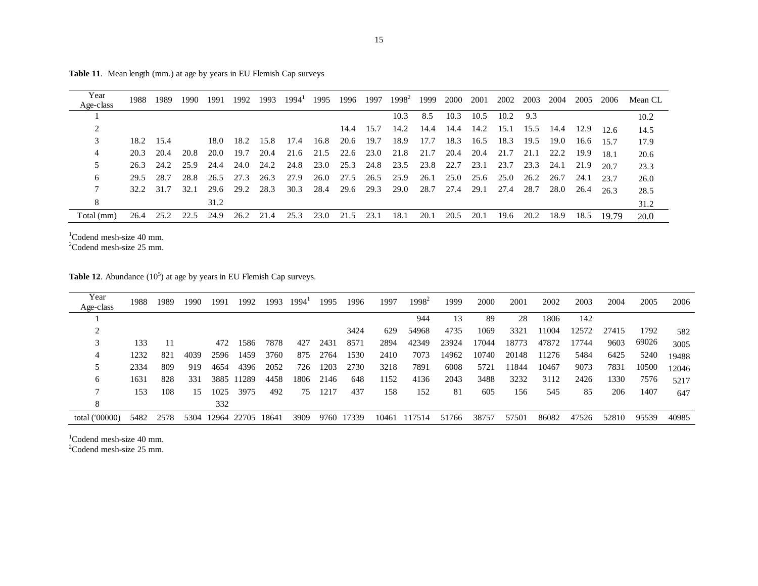| Year       | 1988. | 1989      | 1990 | 1991 | 1992 | 1993 | $1994^1$ | 1995           | 1996 | 1997      | $1998^2$  | 1999 | 2000 | 2001 | 2002      | 2003      | 2004 | 2005 | 2006  | Mean CL |
|------------|-------|-----------|------|------|------|------|----------|----------------|------|-----------|-----------|------|------|------|-----------|-----------|------|------|-------|---------|
| Age-class  |       |           |      |      |      |      |          |                |      |           |           |      |      |      |           |           |      |      |       |         |
|            |       |           |      |      |      |      |          |                |      |           | 10.3      | 8.5  | 10.3 | 10.5 | 10.2      | 9.3       |      |      |       | 10.2    |
|            |       |           |      |      |      |      |          |                |      | 14.4 15.7 | 14.2      | 14.4 | 14.4 |      | 14.2 15.1 | 15.5 14.4 |      | 12.9 | 12.6  | 14.5    |
| 3          | 18.2  | 15.4      |      | 18.0 | 18.2 | 15.8 | 17.4     | 16.8           | 20.6 | 19.7      | 18.9      | 17.7 | 18.3 | 16.5 | 18.3      | 19.5      | 19.0 | 16.6 | 15.7  | 17.9    |
| 4          | 20.3  | 20.4      | 20.8 | 20.0 | 19.7 | 20.4 | 21.6     | 21.5           | 22.6 | 23.0      | 21.8      | 21.7 | 20.4 | 20.4 | 21.7      | 21.1      | 22.2 | 19.9 | 18.1  | 20.6    |
| 5          |       | 26.3 24.2 | 25.9 | 24.4 | 24.0 | 24.2 | 24.8     | 23.0 25.3 24.8 |      |           | 23.5 23.8 |      | 22.7 | 23.1 | 23.7      | 23.3      | 24.1 | 21.9 | 20.7  | 23.3    |
| 6          | 29.5  | 28.7      | 28.8 | 26.5 | 27.3 | 26.3 | 27.9     | 26.0           | 27.5 | 26.5      | 25.9      | 26.1 | 25.0 | 25.6 | 25.0      | 26.2      | 26.7 | 24.1 | 23.7  | 26.0    |
| 7          | 32.2  | 31.7      | 32.1 | 29.6 | 29.2 | 28.3 | 30.3     | 28.4           | 29.6 | 29.3      | 29.0      | 28.7 | 27.4 | 29.1 | 27.4      | 28.7      | 28.0 | 26.4 | 26.3  | 28.5    |
| 8          |       |           |      | 31.2 |      |      |          |                |      |           |           |      |      |      |           |           |      |      |       | 31.2    |
| Total (mm) | 26.4  | 25.2      | 22.5 | 24.9 | 26.2 | 21.4 | 25.3     | 23.0           | 21.5 | 23.1      | 18.1      | 20.1 | 20.5 | 20.1 | 19.6      | 20.2      | 18.9 | 18.5 | 19.79 | 20.0    |

Table 11. Mean length (mm.) at age by years in EU Flemish Cap surveys

 $1$ Codend mesh-size 40 mm.<br>  $2$ Codend mesh-size 25 mm.

|  | <b>Table 12.</b> Abundance $(10^{\circ})$ at age by years in EU Flemish Cap surveys. |
|--|--------------------------------------------------------------------------------------|
|--|--------------------------------------------------------------------------------------|

| Year<br>Age-class | 1988. | 1989 | 1990 | 1991 | 1992        | 1993  | 1994' | 1995 | 1996  | 1997  | $1998^2$ | 1999  | 2000  | 2001  | 2002  | 2003  | 2004  | 2005  | 2006  |
|-------------------|-------|------|------|------|-------------|-------|-------|------|-------|-------|----------|-------|-------|-------|-------|-------|-------|-------|-------|
|                   |       |      |      |      |             |       |       |      |       |       | 944      | 13    | 89    | 28    | 1806  | 142   |       |       |       |
|                   |       |      |      |      |             |       |       |      | 3424  | 629   | 54968    | 4735  | 1069  | 3321  | 11004 | 12572 | 27415 | 1792  | 582   |
|                   | 133   | 11   |      | 472  | 1586        | 7878  | 427   | 2431 | 8571  | 2894  | 42349    | 23924 | .7044 | 18773 | 47872 | 17744 | 9603  | 69026 | 3005  |
| 4                 | 1232  | 821  | 4039 | 2596 | 1459        | 3760  | 875   | 2764 | 1530  | 2410  | 7073     | 14962 | 10740 | 20148 | 11276 | 5484  | 6425  | 5240  | 19488 |
|                   | 2334  | 809  | 919  | 4654 | 4396        | 2052  | 726   | 1203 | 2730  | 3218  | 7891     | 6008  | 5721  | 11844 | 10467 | 9073  | 7831  | 10500 | 12046 |
| 6                 | 1631  | 828  | 331  | 3885 | 11289       | 4458  | 1806  | 2146 | 648   | 1152  | 4136     | 2043  | 3488  | 3232  | 3112  | 2426  | 1330  | 7576  | 5217  |
|                   | 153   | 108  | 15   | 1025 | 3975        | 492   | 75    | 1217 | 437   | 158   | 152      | 81    | 605   | 156   | 545   | 85    | 206   | 1407  | 647   |
| 8                 |       |      |      | 332  |             |       |       |      |       |       |          |       |       |       |       |       |       |       |       |
| total ('00000)    | 5482  | 2578 | 5304 |      | 12964 22705 | 18641 | 3909  | 9760 | 17339 | 10461 | 117514   | 51766 | 38757 | 57501 | 86082 | 47526 | 52810 | 95539 | 40985 |
|                   |       |      |      |      |             |       |       |      |       |       |          |       |       |       |       |       |       |       |       |

 $1^1$ Codend mesh-size 40 mm.<br>  $2^2$ Codend mesh-size 25 mm.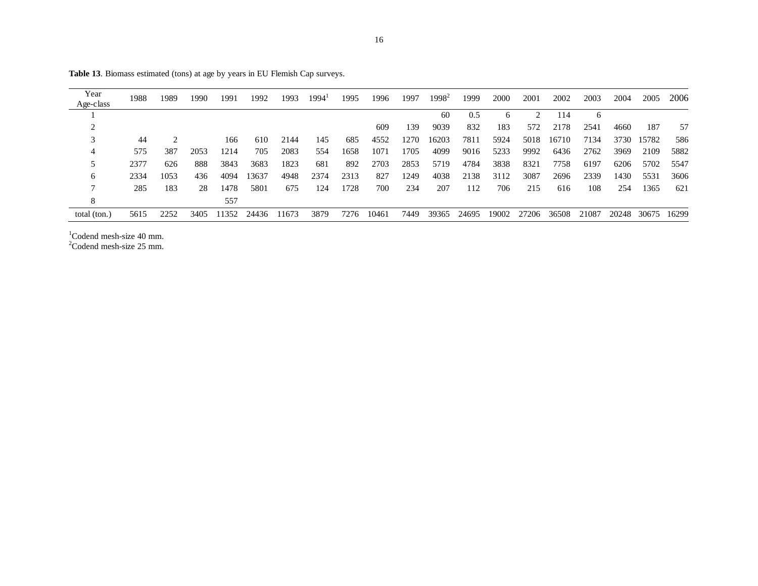| Year<br>Age-class | 1988 | 1989 | 1990 | 1991  | 1992  | 1993  | 1994 | 1995 | 1996  | 1997 | $1998^2$ | 1999  | 2000  | 2001  | 2002  | 2003  | 2004  | 2005  | 2006  |
|-------------------|------|------|------|-------|-------|-------|------|------|-------|------|----------|-------|-------|-------|-------|-------|-------|-------|-------|
|                   |      |      |      |       |       |       |      |      |       |      | 60       | 0.5   | 6     |       | 114   | 6     |       |       |       |
|                   |      |      |      |       |       |       |      |      | 609   | 139  | 9039     | 832   | 183   | 572   | 2178  | 2541  | 4660  | 187   | 57    |
|                   | 44   |      |      | 166   | 610   | 2144  | 145  | 685  | 4552  | 1270 | 16203    | 7811  | 5924  | 5018  | 16710 | 7134  | 3730  | 15782 | 586   |
| 4                 | 575  | 387  | 2053 | 1214  | 705   | 2083  | 554  | 1658 | 1071  | 1705 | 4099     | 9016  | 5233  | 9992  | 6436  | 2762  | 3969  | 2109  | 5882  |
| 5                 | 2377 | 626  | 888  | 3843  | 3683  | 1823  | 681  | 892  | 2703  | 2853 | 5719     | 4784  | 3838  | 8321  | 7758  | 6197  | 6206  | 5702  | 5547  |
| 6                 | 2334 | 1053 | 436  | 4094  | 3637  | 4948  | 2374 | 2313 | 827   | 1249 | 4038     | 2138  | 3112  | 3087  | 2696  | 2339  | 1430  | 5531  | 3606  |
|                   | 285  | 183  | 28   | 1478  | 5801  | 675   | 124  | 1728 | 700   | 234  | 207      | 112   | 706   | 215   | 616   | 108   | 254   | 1365  | 621   |
| 8                 |      |      |      | 557   |       |       |      |      |       |      |          |       |       |       |       |       |       |       |       |
| total (ton.)      | 5615 | 2252 | 3405 | 11352 | 24436 | 11673 | 3879 | 7276 | 10461 | 7449 | 39365    | 24695 | 19002 | 27206 | 36508 | 21087 | 20248 | 30675 | 16299 |

Table 13. Biomass estimated (tons) at age by years in EU Flemish Cap surveys.

 $1$ Codend mesh-size 40 mm.

 $2^2$ Codend mesh-size 25 mm.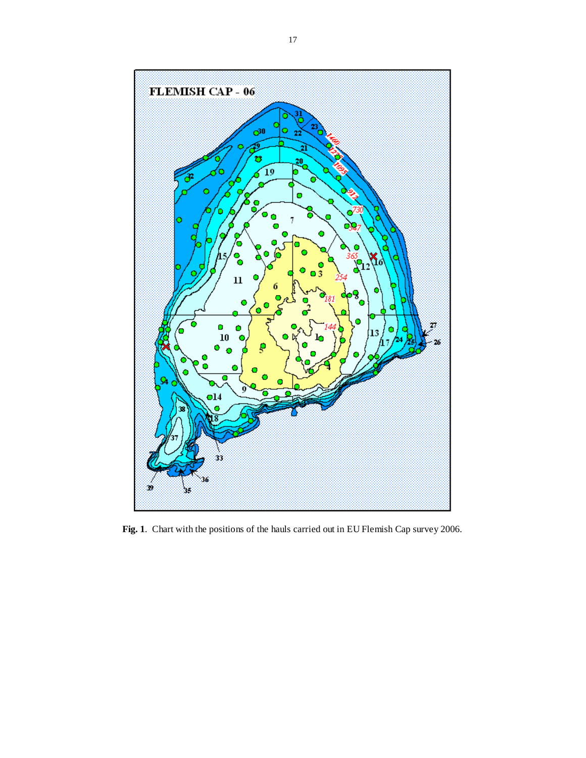

**Fig. 1**. Chart with the positions of the hauls carried out in EU Flemish Cap survey 2006.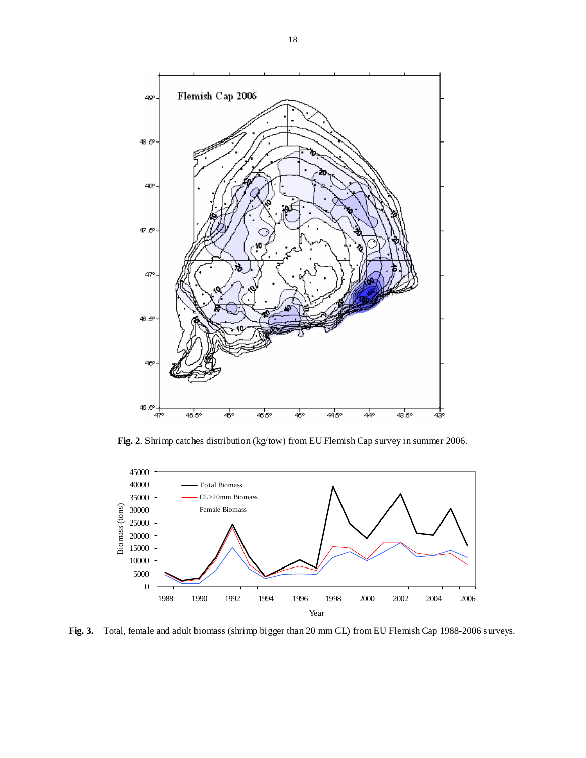

**Fig. 2**. Shrimp catches distribution (kg/tow) from EU Flemish Cap survey in summer 2006.



**Fig. 3.** Total, female and adult biomass (shrimp bigger than 20 mm CL) from EU Flemish Cap 1988-2006 surveys.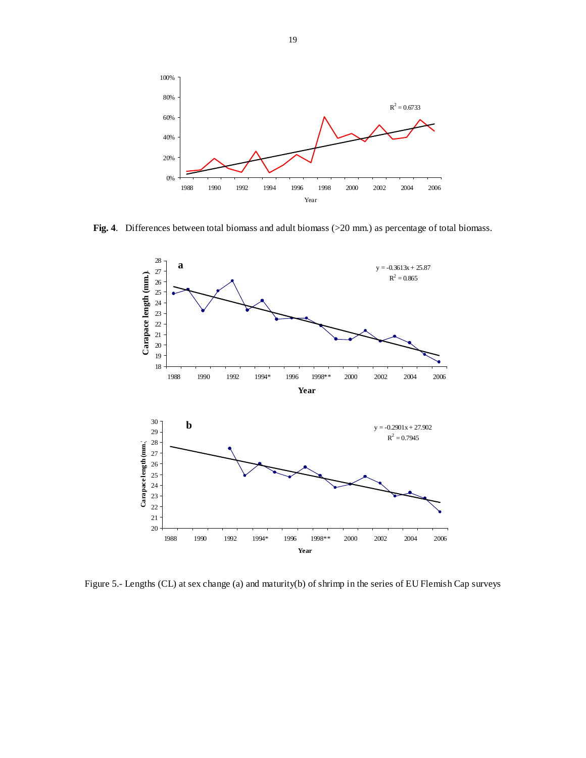

**Fig. 4**. Differences between total biomass and adult biomass (>20 mm.) as percentage of total biomass.



Figure 5.- Lengths (CL) at sex change (a) and maturity(b) of shrimp in the series of EU Flemish Cap surveys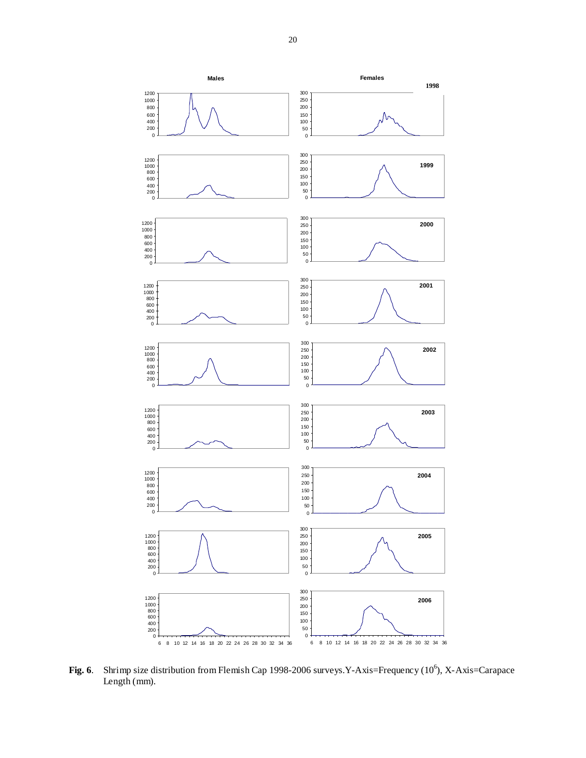

Fig. 6. Shrimp size distribution from Flemish Cap 1998-2006 surveys. Y-Axis=Frequency (10<sup>6</sup>), X-Axis=Carapace Length (mm).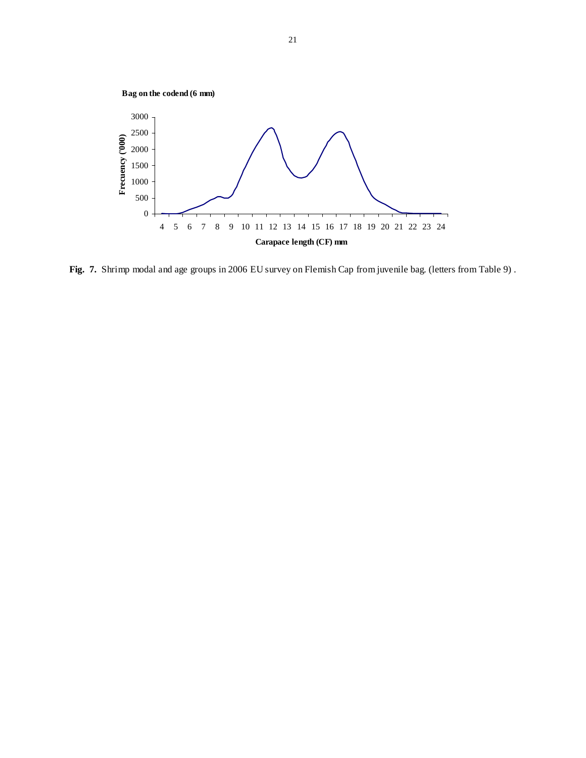

**Fig. 7.** Shrimp modal and age groups in 2006 EU survey on Flemish Cap from juvenile bag. (letters from Table 9) .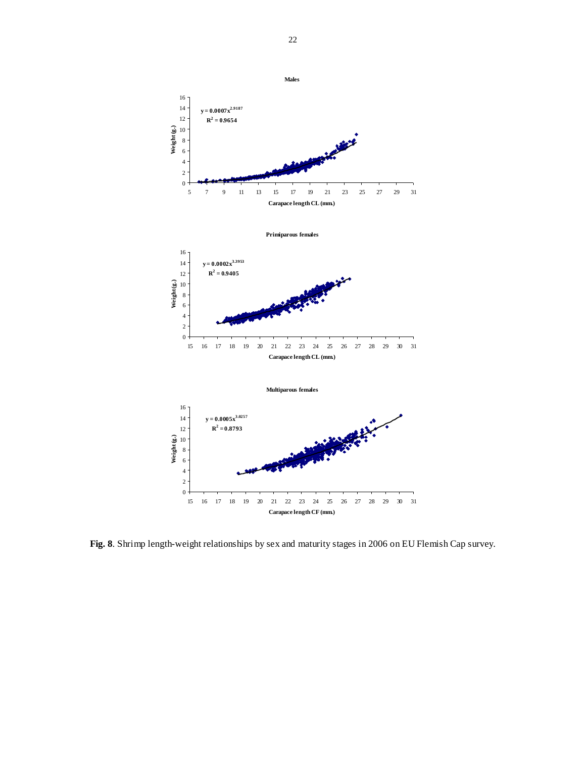

**Fig. 8**. Shrimp length-weight relationships by sex and maturity stages in 2006 on EU Flemish Cap survey.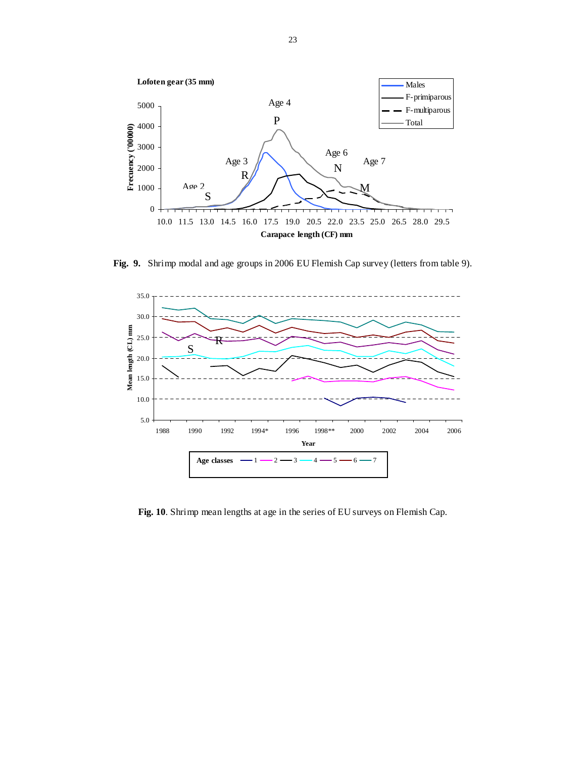

**Fig. 9.** Shrimp modal and age groups in 2006 EU Flemish Cap survey (letters from table 9).



**Fig. 10**. Shrimp mean lengths at age in the series of EU surveys on Flemish Cap.